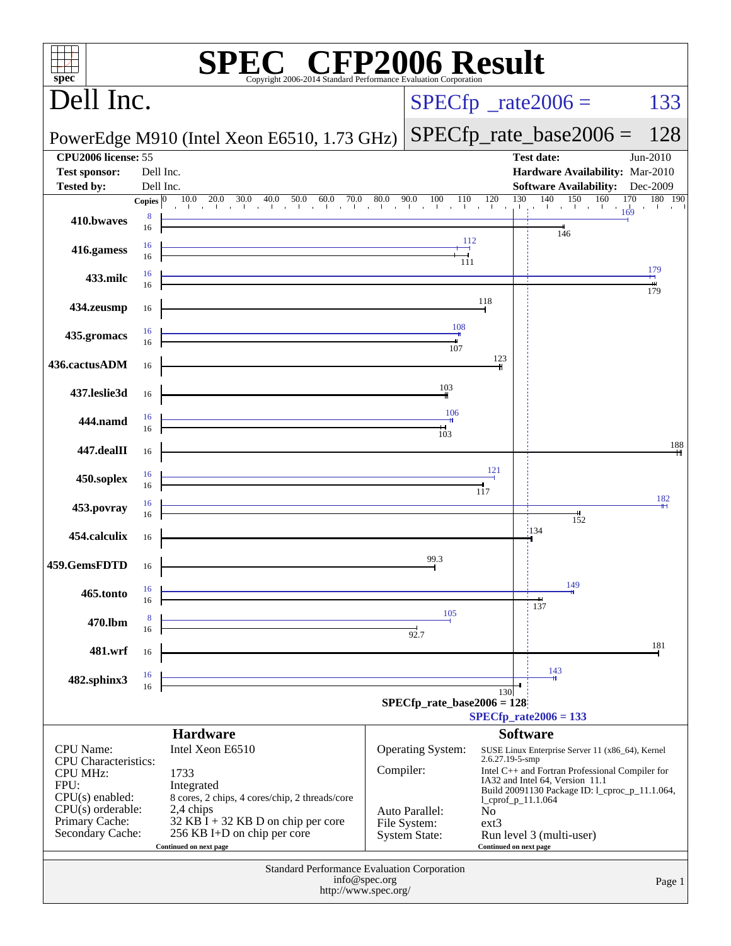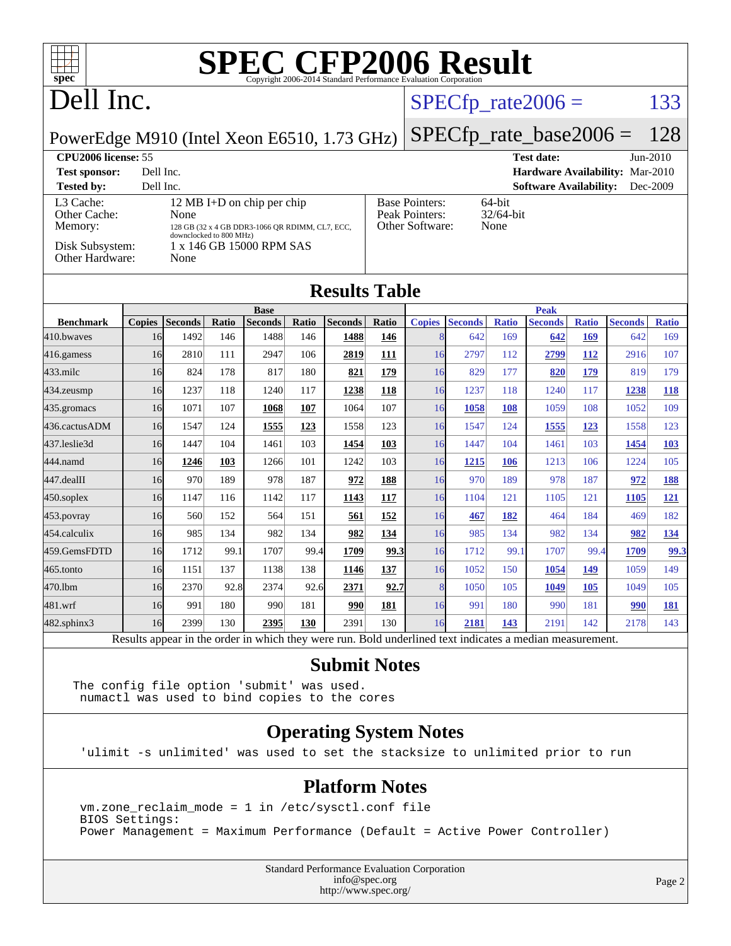| $spec^*$                                                                                                                                                                                                                                                                                                                                       |                      |                |       | <b>SPEC CFP2006 Result</b>    |       |                              |            |               |                            |              |                                                                                                          |              |                |              |
|------------------------------------------------------------------------------------------------------------------------------------------------------------------------------------------------------------------------------------------------------------------------------------------------------------------------------------------------|----------------------|----------------|-------|-------------------------------|-------|------------------------------|------------|---------------|----------------------------|--------------|----------------------------------------------------------------------------------------------------------|--------------|----------------|--------------|
| Dell Inc.                                                                                                                                                                                                                                                                                                                                      |                      |                |       |                               |       | 133<br>$SPECfp_{rate}2006 =$ |            |               |                            |              |                                                                                                          |              |                |              |
| PowerEdge M910 (Intel Xeon E6510, 1.73 GHz)                                                                                                                                                                                                                                                                                                    |                      |                |       |                               |       |                              |            |               | $SPECfp\_rate\_base2006 =$ |              |                                                                                                          | 128          |                |              |
| CPU2006 license: 55<br><b>Test date:</b><br>Jun-2010<br><b>Test sponsor:</b><br>Hardware Availability: Mar-2010<br>Dell Inc.<br>Dell Inc.<br><b>Software Availability:</b><br><b>Tested by:</b><br>Dec-2009                                                                                                                                    |                      |                |       |                               |       |                              |            |               |                            |              |                                                                                                          |              |                |              |
| 12 MB I+D on chip per chip<br><b>Base Pointers:</b><br>64-bit<br>L <sub>3</sub> Cache:<br>Peak Pointers:<br>$32/64$ -bit<br>Other Cache:<br>None<br>Other Software:<br>None<br>Memory:<br>128 GB (32 x 4 GB DDR3-1066 OR RDIMM, CL7, ECC,<br>downclocked to 800 MHz)<br>Disk Subsystem:<br>1 x 146 GB 15000 RPM SAS<br>Other Hardware:<br>None |                      |                |       |                               |       |                              |            |               |                            |              |                                                                                                          |              |                |              |
|                                                                                                                                                                                                                                                                                                                                                | <b>Results Table</b> |                |       |                               |       |                              |            |               |                            |              |                                                                                                          |              |                |              |
| <b>Benchmark</b>                                                                                                                                                                                                                                                                                                                               | <b>Copies</b>        | <b>Seconds</b> | Ratio | <b>Base</b><br><b>Seconds</b> | Ratio | <b>Seconds</b>               | Ratio      | <b>Copies</b> | <b>Seconds</b>             | <b>Ratio</b> | <b>Peak</b><br><b>Seconds</b>                                                                            | <b>Ratio</b> | <b>Seconds</b> | <b>Ratio</b> |
| 410.bwayes                                                                                                                                                                                                                                                                                                                                     | 16                   | 1492           | 146   | 1488                          | 146   | 1488                         | 146        | 8             | 642                        | 169          | 642                                                                                                      | 169          | 642            | 169          |
| 416.gamess                                                                                                                                                                                                                                                                                                                                     | 16                   | 2810           | 111   | 2947                          | 106   | 2819                         | 111        | 16            | 2797                       | 112          | 2799                                                                                                     | 112          | 2916           | 107          |
| 433.milc                                                                                                                                                                                                                                                                                                                                       | 16                   | 824            | 178   | 817                           | 180   | 821                          | <u>179</u> | 16            | 829                        | 177          | 820                                                                                                      | 179          | 819            | 179          |
| 434.zeusmp                                                                                                                                                                                                                                                                                                                                     | 16                   | 1237           | 118   | 1240                          | 117   | 1238                         | 118        | 16            | 1237                       | 118          | 1240                                                                                                     | 117          | 1238           | 118          |
| 435.gromacs                                                                                                                                                                                                                                                                                                                                    | 16                   | 1071           | 107   | 1068                          | 107   | 1064                         | 107        | 16            | 1058                       | <b>108</b>   | 1059                                                                                                     | 108          | 1052           | 109          |
| 436.cactusADM                                                                                                                                                                                                                                                                                                                                  | 16                   | 1547           | 124   | 1555                          | 123   | 1558                         | 123        | 16            | 1547                       | 124          | 1555                                                                                                     | 123          | 1558           | 123          |
| 437.leslie3d                                                                                                                                                                                                                                                                                                                                   | 16                   | 1447           | 104   | 1461                          | 103   | 1454                         | 103        | 16            | 1447                       | 104          | 1461                                                                                                     | 103          | 1454           | <b>103</b>   |
| 444.namd                                                                                                                                                                                                                                                                                                                                       | 16                   | 1246           | 103   | 1266                          | 101   | 1242                         | 103        | 16            | 1215                       | <b>106</b>   | 1213                                                                                                     | 106          | 1224           | 105          |
| 447.dealII                                                                                                                                                                                                                                                                                                                                     | 16                   | 970            | 189   | 978                           | 187   | 972                          | 188        | 16            | 970                        | 189          | 978                                                                                                      | 187          | 972            | 188          |
| $450$ .soplex                                                                                                                                                                                                                                                                                                                                  | 16                   | 1147           | 116   | 1142                          | 117   | 1143                         | 117        | 16            | 1104                       | 121          | 1105                                                                                                     | 121          | 1105           | 121          |
| 453.povray                                                                                                                                                                                                                                                                                                                                     | 16                   | 560            | 152   | 564                           | 151   | 561                          | 152        | 16            | 467                        | 182          | 464                                                                                                      | 184          | 469            | 182          |
| 454.calculix                                                                                                                                                                                                                                                                                                                                   | 16                   | 985            | 134   | 982                           | 134   | 982                          | 134        | 16            | 985                        | 134          | 982                                                                                                      | 134          | 982            | 134          |
| 459.GemsFDTD                                                                                                                                                                                                                                                                                                                                   | 16                   | 1712           | 99.1  | 1707                          | 99.4  | 1709                         | 99.3       | 16            | 1712                       | 99.1         | 1707                                                                                                     | 99.4         | 1709           | 99.3         |
| $ 465$ .tonto                                                                                                                                                                                                                                                                                                                                  | 16                   | 1151           | 137   | 1138                          | 138   | 1146                         | 137        | 16            | 1052                       | 150          | 1054                                                                                                     | 149          | 1059           | 149          |
| 470.1bm                                                                                                                                                                                                                                                                                                                                        | 16                   | 2370           | 92.8  | 2374                          | 92.6  | 2371                         | 92.7       | 8             | 1050                       | 105          | 1049                                                                                                     | 105          | 1049           | 105          |
| 481.wrf                                                                                                                                                                                                                                                                                                                                        | 16                   | 991            | 180   | 990                           | 181   | 990                          | 181        | 16            | 991                        | 180          | 990                                                                                                      | 181          | 990            | 181          |
| $482$ .sphinx $3$                                                                                                                                                                                                                                                                                                                              | 16                   | 2399           | 130   | 2395                          | 130   | 2391                         | 130        | 16            | 2181                       | 143          | 2191                                                                                                     | 142          | 2178           | 143          |
|                                                                                                                                                                                                                                                                                                                                                |                      |                |       |                               |       |                              |            |               |                            |              | Results appear in the order in which they were run. Bold underlined text indicates a median measurement. |              |                |              |

### **[Submit Notes](http://www.spec.org/auto/cpu2006/Docs/result-fields.html#SubmitNotes)**

The config file option 'submit' was used. numactl was used to bind copies to the cores

### **[Operating System Notes](http://www.spec.org/auto/cpu2006/Docs/result-fields.html#OperatingSystemNotes)**

'ulimit -s unlimited' was used to set the stacksize to unlimited prior to run

### **[Platform Notes](http://www.spec.org/auto/cpu2006/Docs/result-fields.html#PlatformNotes)**

 vm.zone\_reclaim\_mode = 1 in /etc/sysctl.conf file BIOS Settings: Power Management = Maximum Performance (Default = Active Power Controller)

> Standard Performance Evaluation Corporation [info@spec.org](mailto:info@spec.org) <http://www.spec.org/>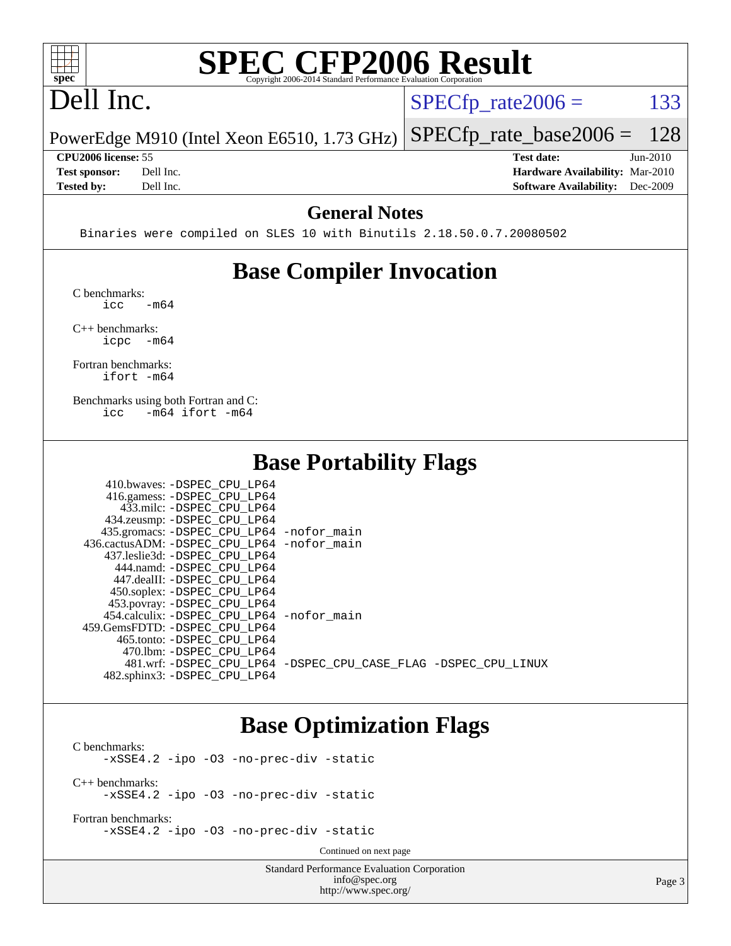

# **[SPEC CFP2006 Result](http://www.spec.org/auto/cpu2006/Docs/result-fields.html#SPECCFP2006Result)**

# Dell Inc.

 $SPECTp_rate2006 = 133$ 

PowerEdge M910 (Intel Xeon E6510, 1.73 GHz) [SPECfp\\_rate\\_base2006 =](http://www.spec.org/auto/cpu2006/Docs/result-fields.html#SPECfpratebase2006) 128

**[CPU2006 license:](http://www.spec.org/auto/cpu2006/Docs/result-fields.html#CPU2006license)** 55 **[Test date:](http://www.spec.org/auto/cpu2006/Docs/result-fields.html#Testdate)** Jun-2010 **[Test sponsor:](http://www.spec.org/auto/cpu2006/Docs/result-fields.html#Testsponsor)** Dell Inc. **[Hardware Availability:](http://www.spec.org/auto/cpu2006/Docs/result-fields.html#HardwareAvailability)** Mar-2010 **[Tested by:](http://www.spec.org/auto/cpu2006/Docs/result-fields.html#Testedby)** Dell Inc. **[Software Availability:](http://www.spec.org/auto/cpu2006/Docs/result-fields.html#SoftwareAvailability)** Dec-2009

### **[General Notes](http://www.spec.org/auto/cpu2006/Docs/result-fields.html#GeneralNotes)**

Binaries were compiled on SLES 10 with Binutils 2.18.50.0.7.20080502

# **[Base Compiler Invocation](http://www.spec.org/auto/cpu2006/Docs/result-fields.html#BaseCompilerInvocation)**

[C benchmarks](http://www.spec.org/auto/cpu2006/Docs/result-fields.html#Cbenchmarks):  $\text{icc}$   $-\text{m64}$ 

[C++ benchmarks:](http://www.spec.org/auto/cpu2006/Docs/result-fields.html#CXXbenchmarks) [icpc -m64](http://www.spec.org/cpu2006/results/res2010q3/cpu2006-20100803-12838.flags.html#user_CXXbase_intel_icpc_64bit_bedb90c1146cab66620883ef4f41a67e)

[Fortran benchmarks](http://www.spec.org/auto/cpu2006/Docs/result-fields.html#Fortranbenchmarks): [ifort -m64](http://www.spec.org/cpu2006/results/res2010q3/cpu2006-20100803-12838.flags.html#user_FCbase_intel_ifort_64bit_ee9d0fb25645d0210d97eb0527dcc06e)

[Benchmarks using both Fortran and C](http://www.spec.org/auto/cpu2006/Docs/result-fields.html#BenchmarksusingbothFortranandC): [icc -m64](http://www.spec.org/cpu2006/results/res2010q3/cpu2006-20100803-12838.flags.html#user_CC_FCbase_intel_icc_64bit_0b7121f5ab7cfabee23d88897260401c) [ifort -m64](http://www.spec.org/cpu2006/results/res2010q3/cpu2006-20100803-12838.flags.html#user_CC_FCbase_intel_ifort_64bit_ee9d0fb25645d0210d97eb0527dcc06e)

 $410.1$   $\ldots$  paper cput in

### **[Base Portability Flags](http://www.spec.org/auto/cpu2006/Docs/result-fields.html#BasePortabilityFlags)**

| 410.0Waves: -DSPEC CPU LP64                |                                                                |
|--------------------------------------------|----------------------------------------------------------------|
| 416.gamess: -DSPEC_CPU_LP64                |                                                                |
| 433.milc: -DSPEC CPU LP64                  |                                                                |
| 434.zeusmp: -DSPEC_CPU_LP64                |                                                                |
| 435.gromacs: -DSPEC_CPU_LP64 -nofor_main   |                                                                |
| 436.cactusADM: -DSPEC CPU LP64 -nofor main |                                                                |
| 437.leslie3d: -DSPEC CPU LP64              |                                                                |
| 444.namd: -DSPEC CPU LP64                  |                                                                |
| 447.dealII: -DSPEC CPU LP64                |                                                                |
| 450.soplex: -DSPEC_CPU_LP64                |                                                                |
| 453.povray: -DSPEC_CPU_LP64                |                                                                |
| 454.calculix: -DSPEC CPU LP64 -nofor main  |                                                                |
| 459. GemsFDTD: - DSPEC CPU LP64            |                                                                |
| 465.tonto: -DSPEC CPU LP64                 |                                                                |
| 470.1bm: - DSPEC CPU LP64                  |                                                                |
|                                            | 481.wrf: -DSPEC CPU_LP64 -DSPEC_CPU_CASE_FLAG -DSPEC_CPU_LINUX |
| 482.sphinx3: -DSPEC CPU LP64               |                                                                |
|                                            |                                                                |

### **[Base Optimization Flags](http://www.spec.org/auto/cpu2006/Docs/result-fields.html#BaseOptimizationFlags)**

[C benchmarks](http://www.spec.org/auto/cpu2006/Docs/result-fields.html#Cbenchmarks): [-xSSE4.2](http://www.spec.org/cpu2006/results/res2010q3/cpu2006-20100803-12838.flags.html#user_CCbase_f-xSSE42_f91528193cf0b216347adb8b939d4107) [-ipo](http://www.spec.org/cpu2006/results/res2010q3/cpu2006-20100803-12838.flags.html#user_CCbase_f-ipo) [-O3](http://www.spec.org/cpu2006/results/res2010q3/cpu2006-20100803-12838.flags.html#user_CCbase_f-O3) [-no-prec-div](http://www.spec.org/cpu2006/results/res2010q3/cpu2006-20100803-12838.flags.html#user_CCbase_f-no-prec-div) [-static](http://www.spec.org/cpu2006/results/res2010q3/cpu2006-20100803-12838.flags.html#user_CCbase_f-static) [C++ benchmarks:](http://www.spec.org/auto/cpu2006/Docs/result-fields.html#CXXbenchmarks) [-xSSE4.2](http://www.spec.org/cpu2006/results/res2010q3/cpu2006-20100803-12838.flags.html#user_CXXbase_f-xSSE42_f91528193cf0b216347adb8b939d4107) [-ipo](http://www.spec.org/cpu2006/results/res2010q3/cpu2006-20100803-12838.flags.html#user_CXXbase_f-ipo) [-O3](http://www.spec.org/cpu2006/results/res2010q3/cpu2006-20100803-12838.flags.html#user_CXXbase_f-O3) [-no-prec-div](http://www.spec.org/cpu2006/results/res2010q3/cpu2006-20100803-12838.flags.html#user_CXXbase_f-no-prec-div) [-static](http://www.spec.org/cpu2006/results/res2010q3/cpu2006-20100803-12838.flags.html#user_CXXbase_f-static)

[Fortran benchmarks](http://www.spec.org/auto/cpu2006/Docs/result-fields.html#Fortranbenchmarks): [-xSSE4.2](http://www.spec.org/cpu2006/results/res2010q3/cpu2006-20100803-12838.flags.html#user_FCbase_f-xSSE42_f91528193cf0b216347adb8b939d4107) [-ipo](http://www.spec.org/cpu2006/results/res2010q3/cpu2006-20100803-12838.flags.html#user_FCbase_f-ipo) [-O3](http://www.spec.org/cpu2006/results/res2010q3/cpu2006-20100803-12838.flags.html#user_FCbase_f-O3) [-no-prec-div](http://www.spec.org/cpu2006/results/res2010q3/cpu2006-20100803-12838.flags.html#user_FCbase_f-no-prec-div) [-static](http://www.spec.org/cpu2006/results/res2010q3/cpu2006-20100803-12838.flags.html#user_FCbase_f-static)

Continued on next page

Standard Performance Evaluation Corporation [info@spec.org](mailto:info@spec.org) <http://www.spec.org/>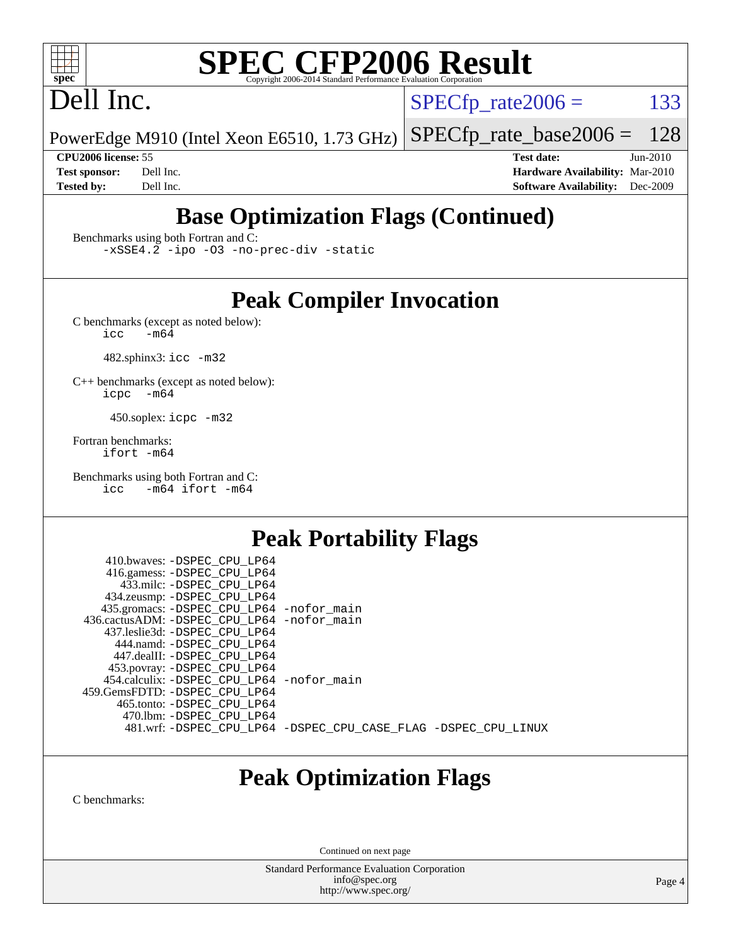

# **[SPEC CFP2006 Result](http://www.spec.org/auto/cpu2006/Docs/result-fields.html#SPECCFP2006Result)**

# Dell Inc.

 $SPECTp\_rate2006 = 133$ 

PowerEdge M910 (Intel Xeon E6510, 1.73 GHz) [SPECfp\\_rate\\_base2006 =](http://www.spec.org/auto/cpu2006/Docs/result-fields.html#SPECfpratebase2006) 128

**[CPU2006 license:](http://www.spec.org/auto/cpu2006/Docs/result-fields.html#CPU2006license)** 55 **[Test date:](http://www.spec.org/auto/cpu2006/Docs/result-fields.html#Testdate)** Jun-2010 **[Test sponsor:](http://www.spec.org/auto/cpu2006/Docs/result-fields.html#Testsponsor)** Dell Inc. **[Hardware Availability:](http://www.spec.org/auto/cpu2006/Docs/result-fields.html#HardwareAvailability)** Mar-2010 **[Tested by:](http://www.spec.org/auto/cpu2006/Docs/result-fields.html#Testedby)** Dell Inc. **[Software Availability:](http://www.spec.org/auto/cpu2006/Docs/result-fields.html#SoftwareAvailability)** Dec-2009

# **[Base Optimization Flags \(Continued\)](http://www.spec.org/auto/cpu2006/Docs/result-fields.html#BaseOptimizationFlags)**

[Benchmarks using both Fortran and C](http://www.spec.org/auto/cpu2006/Docs/result-fields.html#BenchmarksusingbothFortranandC):

[-xSSE4.2](http://www.spec.org/cpu2006/results/res2010q3/cpu2006-20100803-12838.flags.html#user_CC_FCbase_f-xSSE42_f91528193cf0b216347adb8b939d4107) [-ipo](http://www.spec.org/cpu2006/results/res2010q3/cpu2006-20100803-12838.flags.html#user_CC_FCbase_f-ipo) [-O3](http://www.spec.org/cpu2006/results/res2010q3/cpu2006-20100803-12838.flags.html#user_CC_FCbase_f-O3) [-no-prec-div](http://www.spec.org/cpu2006/results/res2010q3/cpu2006-20100803-12838.flags.html#user_CC_FCbase_f-no-prec-div) [-static](http://www.spec.org/cpu2006/results/res2010q3/cpu2006-20100803-12838.flags.html#user_CC_FCbase_f-static)

## **[Peak Compiler Invocation](http://www.spec.org/auto/cpu2006/Docs/result-fields.html#PeakCompilerInvocation)**

[C benchmarks \(except as noted below\)](http://www.spec.org/auto/cpu2006/Docs/result-fields.html#Cbenchmarksexceptasnotedbelow):<br> $\frac{1}{\text{CC}}$  -m64  $-m64$ 

482.sphinx3: [icc -m32](http://www.spec.org/cpu2006/results/res2010q3/cpu2006-20100803-12838.flags.html#user_peakCCLD482_sphinx3_intel_icc_32bit_a6a621f8d50482236b970c6ac5f55f93)

[C++ benchmarks \(except as noted below\):](http://www.spec.org/auto/cpu2006/Docs/result-fields.html#CXXbenchmarksexceptasnotedbelow) [icpc -m64](http://www.spec.org/cpu2006/results/res2010q3/cpu2006-20100803-12838.flags.html#user_CXXpeak_intel_icpc_64bit_bedb90c1146cab66620883ef4f41a67e)

450.soplex: [icpc -m32](http://www.spec.org/cpu2006/results/res2010q3/cpu2006-20100803-12838.flags.html#user_peakCXXLD450_soplex_intel_icpc_32bit_4e5a5ef1a53fd332b3c49e69c3330699)

[Fortran benchmarks](http://www.spec.org/auto/cpu2006/Docs/result-fields.html#Fortranbenchmarks): [ifort -m64](http://www.spec.org/cpu2006/results/res2010q3/cpu2006-20100803-12838.flags.html#user_FCpeak_intel_ifort_64bit_ee9d0fb25645d0210d97eb0527dcc06e)

[Benchmarks using both Fortran and C](http://www.spec.org/auto/cpu2006/Docs/result-fields.html#BenchmarksusingbothFortranandC): [icc -m64](http://www.spec.org/cpu2006/results/res2010q3/cpu2006-20100803-12838.flags.html#user_CC_FCpeak_intel_icc_64bit_0b7121f5ab7cfabee23d88897260401c) [ifort -m64](http://www.spec.org/cpu2006/results/res2010q3/cpu2006-20100803-12838.flags.html#user_CC_FCpeak_intel_ifort_64bit_ee9d0fb25645d0210d97eb0527dcc06e)

# **[Peak Portability Flags](http://www.spec.org/auto/cpu2006/Docs/result-fields.html#PeakPortabilityFlags)**

 410.bwaves: [-DSPEC\\_CPU\\_LP64](http://www.spec.org/cpu2006/results/res2010q3/cpu2006-20100803-12838.flags.html#suite_peakPORTABILITY410_bwaves_DSPEC_CPU_LP64) 416.gamess: [-DSPEC\\_CPU\\_LP64](http://www.spec.org/cpu2006/results/res2010q3/cpu2006-20100803-12838.flags.html#suite_peakPORTABILITY416_gamess_DSPEC_CPU_LP64) 433.milc: [-DSPEC\\_CPU\\_LP64](http://www.spec.org/cpu2006/results/res2010q3/cpu2006-20100803-12838.flags.html#suite_peakPORTABILITY433_milc_DSPEC_CPU_LP64) 434.zeusmp: [-DSPEC\\_CPU\\_LP64](http://www.spec.org/cpu2006/results/res2010q3/cpu2006-20100803-12838.flags.html#suite_peakPORTABILITY434_zeusmp_DSPEC_CPU_LP64) 435.gromacs: [-DSPEC\\_CPU\\_LP64](http://www.spec.org/cpu2006/results/res2010q3/cpu2006-20100803-12838.flags.html#suite_peakPORTABILITY435_gromacs_DSPEC_CPU_LP64) [-nofor\\_main](http://www.spec.org/cpu2006/results/res2010q3/cpu2006-20100803-12838.flags.html#user_peakLDPORTABILITY435_gromacs_f-nofor_main) 436.cactusADM: [-DSPEC\\_CPU\\_LP64](http://www.spec.org/cpu2006/results/res2010q3/cpu2006-20100803-12838.flags.html#suite_peakPORTABILITY436_cactusADM_DSPEC_CPU_LP64) [-nofor\\_main](http://www.spec.org/cpu2006/results/res2010q3/cpu2006-20100803-12838.flags.html#user_peakLDPORTABILITY436_cactusADM_f-nofor_main) 437.leslie3d: [-DSPEC\\_CPU\\_LP64](http://www.spec.org/cpu2006/results/res2010q3/cpu2006-20100803-12838.flags.html#suite_peakPORTABILITY437_leslie3d_DSPEC_CPU_LP64) 444.namd: [-DSPEC\\_CPU\\_LP64](http://www.spec.org/cpu2006/results/res2010q3/cpu2006-20100803-12838.flags.html#suite_peakPORTABILITY444_namd_DSPEC_CPU_LP64) 447.dealII: [-DSPEC\\_CPU\\_LP64](http://www.spec.org/cpu2006/results/res2010q3/cpu2006-20100803-12838.flags.html#suite_peakPORTABILITY447_dealII_DSPEC_CPU_LP64) 453.povray: [-DSPEC\\_CPU\\_LP64](http://www.spec.org/cpu2006/results/res2010q3/cpu2006-20100803-12838.flags.html#suite_peakPORTABILITY453_povray_DSPEC_CPU_LP64) 454.calculix: [-DSPEC\\_CPU\\_LP64](http://www.spec.org/cpu2006/results/res2010q3/cpu2006-20100803-12838.flags.html#suite_peakPORTABILITY454_calculix_DSPEC_CPU_LP64) [-nofor\\_main](http://www.spec.org/cpu2006/results/res2010q3/cpu2006-20100803-12838.flags.html#user_peakLDPORTABILITY454_calculix_f-nofor_main) 459.GemsFDTD: [-DSPEC\\_CPU\\_LP64](http://www.spec.org/cpu2006/results/res2010q3/cpu2006-20100803-12838.flags.html#suite_peakPORTABILITY459_GemsFDTD_DSPEC_CPU_LP64) 465.tonto: [-DSPEC\\_CPU\\_LP64](http://www.spec.org/cpu2006/results/res2010q3/cpu2006-20100803-12838.flags.html#suite_peakPORTABILITY465_tonto_DSPEC_CPU_LP64) 470.lbm: [-DSPEC\\_CPU\\_LP64](http://www.spec.org/cpu2006/results/res2010q3/cpu2006-20100803-12838.flags.html#suite_peakPORTABILITY470_lbm_DSPEC_CPU_LP64) 481.wrf: [-DSPEC\\_CPU\\_LP64](http://www.spec.org/cpu2006/results/res2010q3/cpu2006-20100803-12838.flags.html#suite_peakPORTABILITY481_wrf_DSPEC_CPU_LP64) [-DSPEC\\_CPU\\_CASE\\_FLAG](http://www.spec.org/cpu2006/results/res2010q3/cpu2006-20100803-12838.flags.html#b481.wrf_peakCPORTABILITY_DSPEC_CPU_CASE_FLAG) [-DSPEC\\_CPU\\_LINUX](http://www.spec.org/cpu2006/results/res2010q3/cpu2006-20100803-12838.flags.html#b481.wrf_peakCPORTABILITY_DSPEC_CPU_LINUX)

# **[Peak Optimization Flags](http://www.spec.org/auto/cpu2006/Docs/result-fields.html#PeakOptimizationFlags)**

[C benchmarks](http://www.spec.org/auto/cpu2006/Docs/result-fields.html#Cbenchmarks):

Continued on next page

Standard Performance Evaluation Corporation [info@spec.org](mailto:info@spec.org) <http://www.spec.org/>

Page 4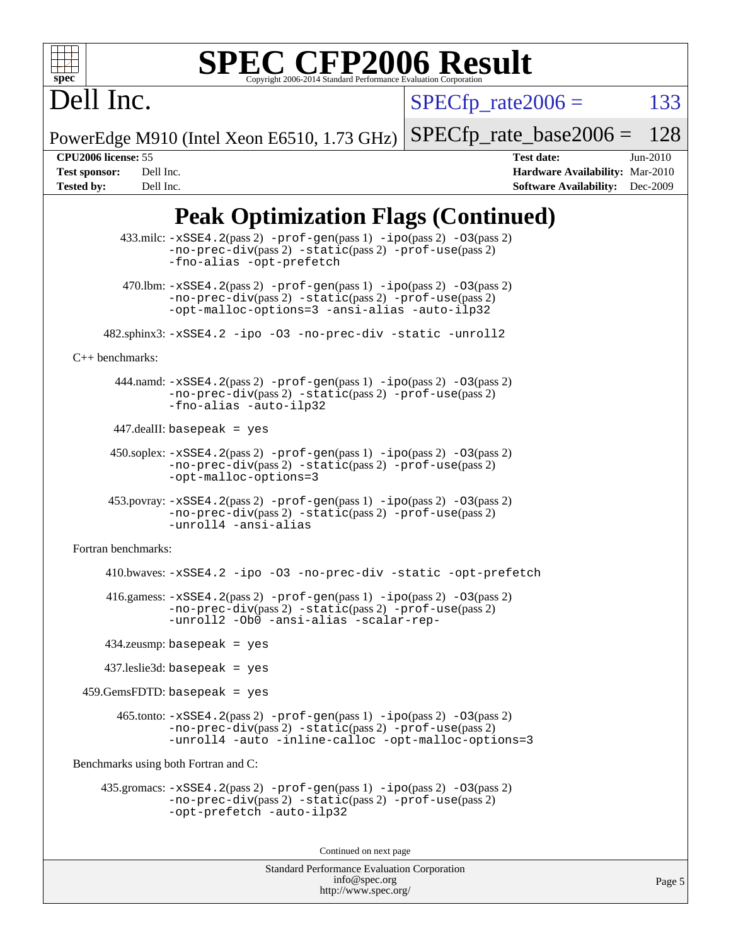

# **[SPEC CFP2006 Result](http://www.spec.org/auto/cpu2006/Docs/result-fields.html#SPECCFP2006Result)**

Dell Inc.

 $SPECTp\_rate2006 = 133$ 

PowerEdge M910 (Intel Xeon E6510, 1.73 GHz) [SPECfp\\_rate\\_base2006 =](http://www.spec.org/auto/cpu2006/Docs/result-fields.html#SPECfpratebase2006) 128

**[CPU2006 license:](http://www.spec.org/auto/cpu2006/Docs/result-fields.html#CPU2006license)** 55 **[Test date:](http://www.spec.org/auto/cpu2006/Docs/result-fields.html#Testdate)** Jun-2010 **[Test sponsor:](http://www.spec.org/auto/cpu2006/Docs/result-fields.html#Testsponsor)** Dell Inc. **[Hardware Availability:](http://www.spec.org/auto/cpu2006/Docs/result-fields.html#HardwareAvailability)** Mar-2010 **[Tested by:](http://www.spec.org/auto/cpu2006/Docs/result-fields.html#Testedby)** Dell Inc. **[Software Availability:](http://www.spec.org/auto/cpu2006/Docs/result-fields.html#SoftwareAvailability)** Dec-2009

# **[Peak Optimization Flags \(Continued\)](http://www.spec.org/auto/cpu2006/Docs/result-fields.html#PeakOptimizationFlags)**

```
433.milc: -xSSE4. 2(pass 2) -prof-gen-ipo-O3(pass 2)-no-prec-div(pass 2) -static(pass 2) -prof-use(pass 2)
               -fno-alias -opt-prefetch
        470.lbm: -xSSE4. 2(pass 2) -prof-gen-ipo-O3(pass 2)-no-prec-div(pass 2) -static(pass 2) -prof-use(pass 2)
               -opt-malloc-options=3 -ansi-alias -auto-ilp32
      482.sphinx3: -xSSE4.2 -ipo -O3 -no-prec-div -static -unroll2
C++ benchmarks: 
      444.namd: -xSSE4. 2(pass 2) -prof-gen-ipo-O3(pass 2)-no-prec-div(pass 2) -static(pass 2) -prof-use(pass 2)
               -fno-alias -auto-ilp32
      447.dealII: basepeak = yes
       450.soplex: -xSSE4.2(pass 2) -prof-gen(pass 1) -ipo(pass 2) -O3(pass 2)
               -no-prec-div(pass 2) -static(pass 2) -prof-use(pass 2)
               -opt-malloc-options=3
      453.povray: -xSSE4.2(pass 2) -prof-gen(pass 1) -ipo(pass 2) -O3(pass 2)
               -no-prec-div(pass 2) -static(pass 2) -prof-use(pass 2)
               -unroll4 -ansi-alias
Fortran benchmarks: 
      410.bwaves: -xSSE4.2 -ipo -O3 -no-prec-div -static -opt-prefetch
      416.gamess: -xSSE4.2(pass 2) -prof-gen(pass 1) -ipo(pass 2) -O3(pass 2)
               -no-prec-div(pass 2) -static(pass 2) -prof-use(pass 2)
               -unroll2 -Ob0 -ansi-alias -scalar-rep-
      434.zeusmp: basepeak = yes
      437.leslie3d: basepeak = yes
 459.GemsFDTD: basepeak = yes 465.tonto: -xSSE4.2(pass 2) -prof-gen(pass 1) -ipo(pass 2) -O3(pass 2)
               -no-prec-div(pass 2) -static(pass 2) -prof-use(pass 2)
               -unroll4 -auto -inline-calloc -opt-malloc-options=3
Benchmarks using both Fortran and C: 
     435.gromacs: -xSSE4.2(pass 2) -prof-gen(pass 1) -ipo(pass 2) -O3(pass 2)
               -no-prec-div(pass 2) -static(pass 2) -prof-use(pass 2)
               -opt-prefetch -auto-ilp32
                                       Continued on next page
```